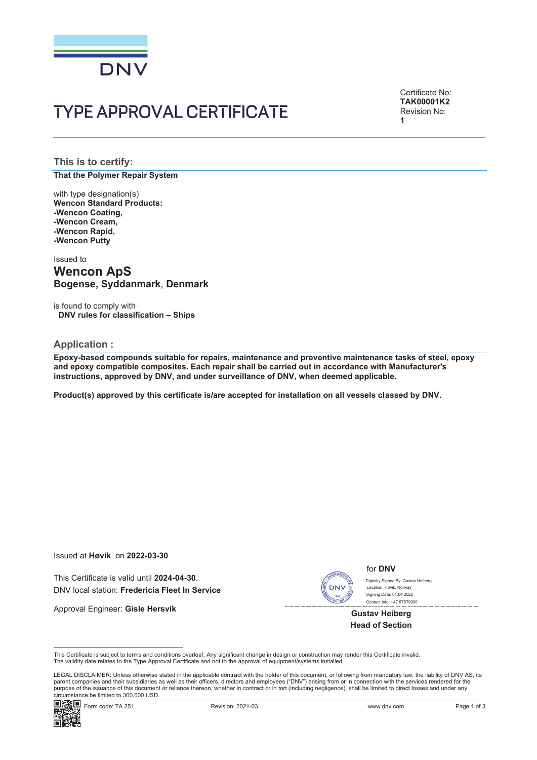

Certificate No: **TAK00001K2** Revision No: **1**

**This is to certify: That the Polymer Repair System**

with type designation(s) **Wencon Standard Products: -Wencon Coating, -Wencon Cream, -Wencon Rapid, -Wencon Putty**

Issued to

# **Wencon ApS Bogense, Syddanmark**, **Denmark**

is found to comply with **DNV rules for classification – Ships**

#### **Application :**

**Epoxy-based compounds suitable for repairs, maintenance and preventive maintenance tasks of steel, epoxy and epoxy compatible composites. Each repair shall be carried out in accordance with Manufacturer's instructions, approved by DNV, and under surveillance of DNV, when deemed applicable.**

**Product(s) approved by this certificate is/are accepted for installation on all vessels classed by DNV.**

Issued at **Høvik** on **2022-03-30**

This Certificate is valid until **2024-04-30**. DNV local station: **Fredericia Fleet In Service**

Approval Engineer: **Gisle Hersvik**



for **DNV**

Contact Info: +47 67579900 Digitally Signed By: Gustay Heiberg Signing Date: 01.04.2022 րա…, \_..<br>բրահու Havik, Norwa∖

**Gustav Heiberg Head of Section**

This Certificate is subject to terms and conditions overleaf. Any significant change in design or construction may render this Certificate invalid. The validity date relates to the Type Approval Certificate and not to the approval of equipment/systems installed.

LEGAL DISCLAIMER: Unless otherwise stated in the applicable contract with the holder of this document, or following from mandatory law, the liability of DNV AS, its parent companies and their subsidiaries as well as their officers, directors and employees ("DNV") arising from or in connection with the services rendered for the purpose of the issuance of this document or reliance thereon, whether in contract or in tort (including negligence), shall be limited to direct losses and under any circumstance be limited to 300,000 USD.

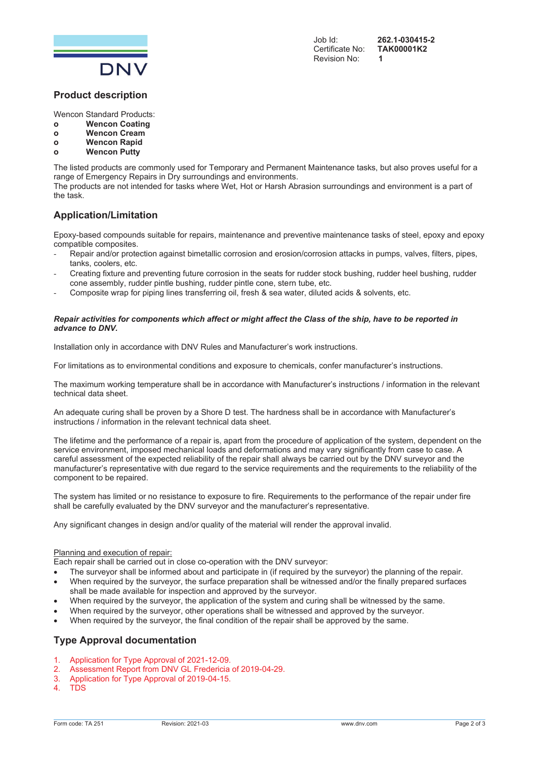

Job Id: **262.1-030415-2** Certificate No: Revision No:

### **Product description**

Wencon Standard Products:

- **o Wencon Coating**
- **o Wencon Cream**
- **o Wencon Rapid**
- **o Wencon Putty**

The listed products are commonly used for Temporary and Permanent Maintenance tasks, but also proves useful for a range of Emergency Repairs in Dry surroundings and environments.

The products are not intended for tasks where Wet, Hot or Harsh Abrasion surroundings and environment is a part of the task.

## **Application/Limitation**

Epoxy-based compounds suitable for repairs, maintenance and preventive maintenance tasks of steel, epoxy and epoxy compatible composites.

- Repair and/or protection against bimetallic corrosion and erosion/corrosion attacks in pumps, valves, filters, pipes, tanks, coolers, etc.
- Creating fixture and preventing future corrosion in the seats for rudder stock bushing, rudder heel bushing, rudder cone assembly, rudder pintle bushing, rudder pintle cone, stern tube, etc.
- Composite wrap for piping lines transferring oil, fresh & sea water, diluted acids & solvents, etc.

#### *Repair activities for components which affect or might affect the Class of the ship, have to be reported in advance to DNV.*

Installation only in accordance with DNV Rules and Manufacturer's work instructions.

For limitations as to environmental conditions and exposure to chemicals, confer manufacturer's instructions.

The maximum working temperature shall be in accordance with Manufacturer's instructions / information in the relevant technical data sheet.

An adequate curing shall be proven by a Shore D test. The hardness shall be in accordance with Manufacturer's instructions / information in the relevant technical data sheet.

The lifetime and the performance of a repair is, apart from the procedure of application of the system, dependent on the service environment, imposed mechanical loads and deformations and may vary significantly from case to case. A careful assessment of the expected reliability of the repair shall always be carried out by the DNV surveyor and the manufacturer's representative with due regard to the service requirements and the requirements to the reliability of the component to be repaired.

The system has limited or no resistance to exposure to fire. Requirements to the performance of the repair under fire shall be carefully evaluated by the DNV surveyor and the manufacturer's representative.

Any significant changes in design and/or quality of the material will render the approval invalid.

#### Planning and execution of repair:

Each repair shall be carried out in close co-operation with the DNV surveyor:

- The surveyor shall be informed about and participate in (if required by the surveyor) the planning of the repair.
- When required by the surveyor, the surface preparation shall be witnessed and/or the finally prepared surfaces shall be made available for inspection and approved by the surveyor.
- When required by the surveyor, the application of the system and curing shall be witnessed by the same.
- When required by the surveyor, other operations shall be witnessed and approved by the surveyor.
- When required by the surveyor, the final condition of the repair shall be approved by the same.

- 1. Application for Type Approval of 2021-12-09.
- 2. Assessment Report from DNV GL Fredericia of 2019-04-29.
- 3. Application for Type Approval of 2019-04-15.
- 4. TDS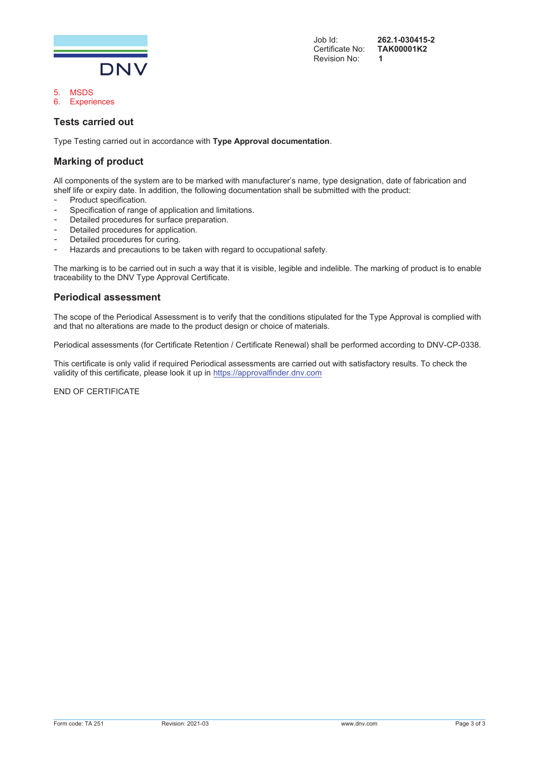

# **Tests carried out**

5. MSDS 6. Experiences

Type Testing carried out in accordance with **Type Approval documentation**.

## **Marking of product**

All components of the system are to be marked with manufacturer's name, type designation, date of fabrication and shelf life or expiry date. In addition, the following documentation shall be submitted with the product:

- Product specification.
- Specification of range of application and limitations.
- Detailed procedures for surface preparation.
- Detailed procedures for application.
- Detailed procedures for curing.
- Hazards and precautions to be taken with regard to occupational safety.

The marking is to be carried out in such a way that it is visible, legible and indelible. The marking of product is to enable traceability to the DNV Type Approval Certificate.

## **Periodical assessment**

The scope of the Periodical Assessment is to verify that the conditions stipulated for the Type Approval is complied with and that no alterations are made to the product design or choice of materials.

Periodical assessments (for Certificate Retention / Certificate Renewal) shall be performed according to DNV-CP-0338.

This certificate is only valid if required Periodical assessments are carried out with satisfactory results. To check the validity of this certificate, please look it up in https://approvalfinder.dnv.com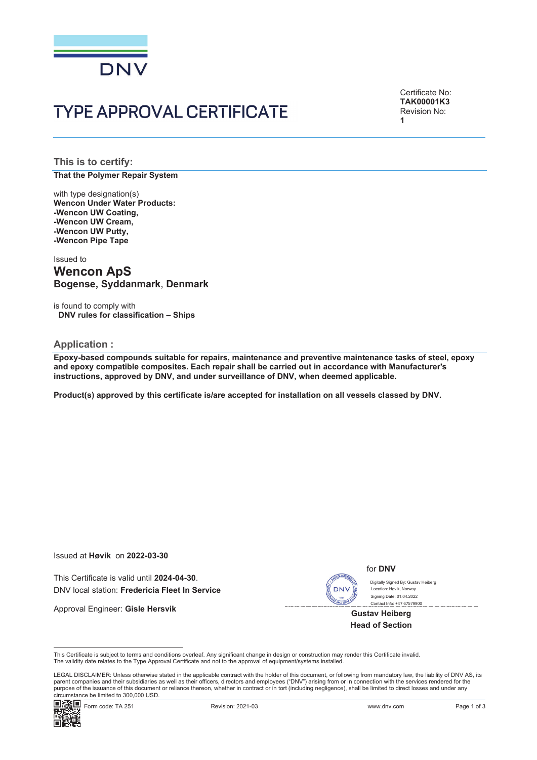

Certificate No: **TAK00001K3** Revision No: **1**

**This is to certify: That the Polymer Repair System**

with type designation(s) **Wencon Under Water Products: -Wencon UW Coating, -Wencon UW Cream, -Wencon UW Putty, -Wencon Pipe Tape**

Issued to

# **Wencon ApS Bogense, Syddanmark**, **Denmark**

is found to comply with **DNV rules for classification – Ships**

#### **Application :**

**Epoxy-based compounds suitable for repairs, maintenance and preventive maintenance tasks of steel, epoxy and epoxy compatible composites. Each repair shall be carried out in accordance with Manufacturer's instructions, approved by DNV, and under surveillance of DNV, when deemed applicable.**

**Product(s) approved by this certificate is/are accepted for installation on all vessels classed by DNV.**

Issued at **Høvik** on **2022-03-30**

This Certificate is valid until **2024-04-30**. DNV local station: **Fredericia Fleet In Service**

Approval Engineer: **Gisle Hersvik**

**DNV** 

#### for **DNV**

Digitally Signed By: Gustav Heiberg Signing Date: 01.04.2022 Contact Info: +47 67579900 Location: Havik, Norway

**Gustav Heiberg Head of Section**

This Certificate is subject to terms and conditions overleaf. Any significant change in design or construction may render this Certificate invalid. The validity date relates to the Type Approval Certificate and not to the approval of equipment/systems installed.

LEGAL DISCLAIMER: Unless otherwise stated in the applicable contract with the holder of this document, or following from mandatory law, the liability of DNV AS, its parent companies and their subsidiaries as well as their officers, directors and employees ("DNV") arising from or in connection with the services rendered for the purpose of the issuance of this document or reliance thereon, whether in contract or in tort (including negligence), shall be limited to direct losses and under any circumstance be limited to 300,000 USD.

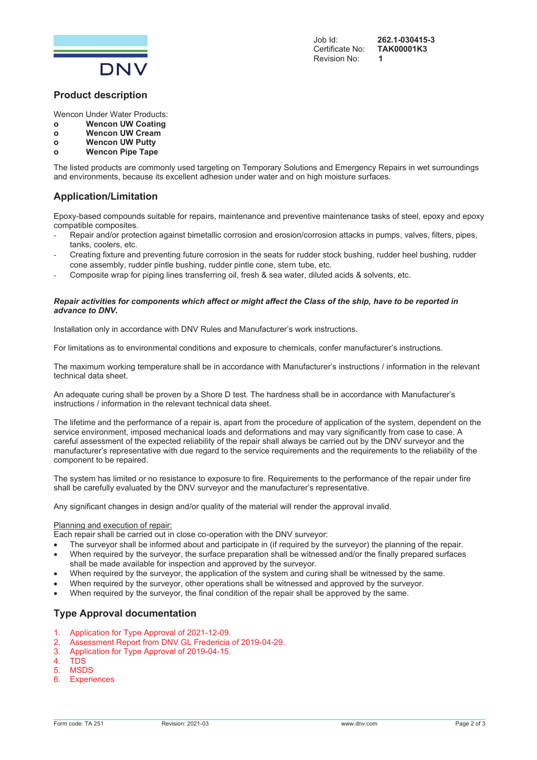

## **Product description**

Wencon Under Water Products:

- **o Wencon UW Coating**
- **o Wencon UW Cream**
- **o Wencon UW Putty**
- **o Wencon Pipe Tape**

The listed products are commonly used targeting on Temporary Solutions and Emergency Repairs in wet surroundings and environments, because its excellent adhesion under water and on high moisture surfaces.

# **Application/Limitation**

Epoxy-based compounds suitable for repairs, maintenance and preventive maintenance tasks of steel, epoxy and epoxy compatible composites.

- Repair and/or protection against bimetallic corrosion and erosion/corrosion attacks in pumps, valves, filters, pipes, tanks, coolers, etc.
- Creating fixture and preventing future corrosion in the seats for rudder stock bushing, rudder heel bushing, rudder cone assembly, rudder pintle bushing, rudder pintle cone, stern tube, etc.
- Composite wrap for piping lines transferring oil, fresh & sea water, diluted acids & solvents, etc.

#### *Repair activities for components which affect or might affect the Class of the ship, have to be reported in advance to DNV.*

Installation only in accordance with DNV Rules and Manufacturer's work instructions.

For limitations as to environmental conditions and exposure to chemicals, confer manufacturer's instructions.

The maximum working temperature shall be in accordance with Manufacturer's instructions / information in the relevant technical data sheet.

An adequate curing shall be proven by a Shore D test. The hardness shall be in accordance with Manufacturer's instructions / information in the relevant technical data sheet.

The lifetime and the performance of a repair is, apart from the procedure of application of the system, dependent on the service environment, imposed mechanical loads and deformations and may vary significantly from case to case. A careful assessment of the expected reliability of the repair shall always be carried out by the DNV surveyor and the manufacturer's representative with due regard to the service requirements and the requirements to the reliability of the component to be repaired.

The system has limited or no resistance to exposure to fire. Requirements to the performance of the repair under fire shall be carefully evaluated by the DNV surveyor and the manufacturer's representative.

Any significant changes in design and/or quality of the material will render the approval invalid.

#### Planning and execution of repair:

Each repair shall be carried out in close co-operation with the DNV surveyor:

- The surveyor shall be informed about and participate in (if required by the surveyor) the planning of the repair.
- When required by the surveyor, the surface preparation shall be witnessed and/or the finally prepared surfaces shall be made available for inspection and approved by the surveyor.
- When required by the surveyor, the application of the system and curing shall be witnessed by the same.
- When required by the surveyor, other operations shall be witnessed and approved by the surveyor.
	- When required by the surveyor, the final condition of the repair shall be approved by the same.

- 1. Application for Type Approval of 2021-12-09.
- 2. Assessment Report from DNV GL Fredericia of 2019-04-29.
- 3. Application for Type Approval of 2019-04-15.
- 4. TDS
- 5. MSDS
- 6. Experiences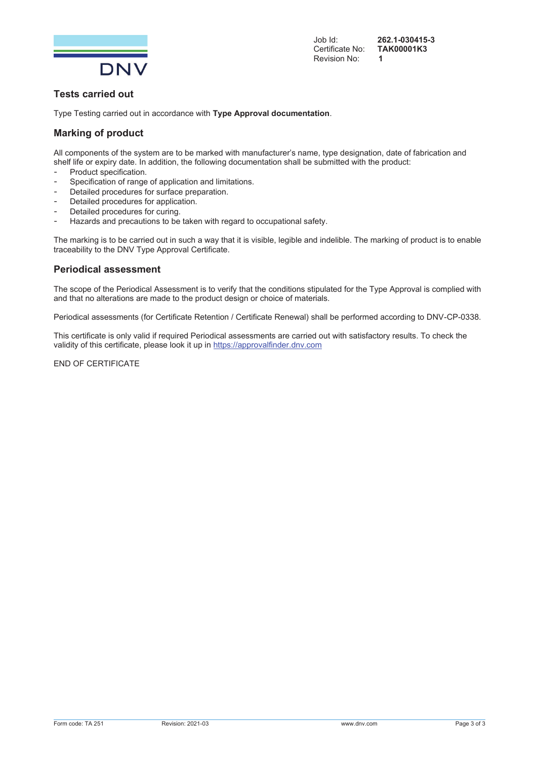

Job Id: **262.1-030415-3** Certificate No: Revision No: **1**

# **Tests carried out**

Type Testing carried out in accordance with **Type Approval documentation**.

# **Marking of product**

All components of the system are to be marked with manufacturer's name, type designation, date of fabrication and shelf life or expiry date. In addition, the following documentation shall be submitted with the product:

- Product specification.
- Specification of range of application and limitations.
- Detailed procedures for surface preparation.
- Detailed procedures for application.
- Detailed procedures for curing.
- Hazards and precautions to be taken with regard to occupational safety.

The marking is to be carried out in such a way that it is visible, legible and indelible. The marking of product is to enable traceability to the DNV Type Approval Certificate.

## **Periodical assessment**

The scope of the Periodical Assessment is to verify that the conditions stipulated for the Type Approval is complied with and that no alterations are made to the product design or choice of materials.

Periodical assessments (for Certificate Retention / Certificate Renewal) shall be performed according to DNV-CP-0338.

This certificate is only valid if required Periodical assessments are carried out with satisfactory results. To check the validity of this certificate, please look it up in https://approvalfinder.dnv.com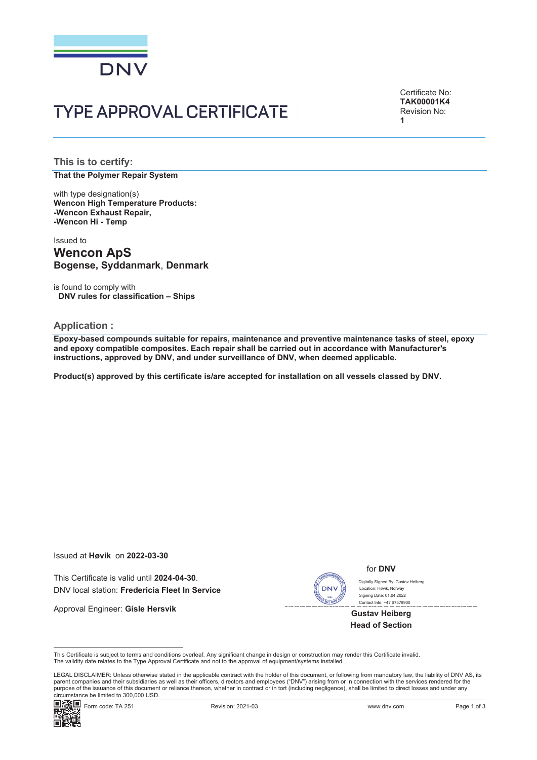

Certificate No: **TAK00001K4** Revision No: **1**

**This is to certify: That the Polymer Repair System**

with type designation(s) **Wencon High Temperature Products: -Wencon Exhaust Repair, -Wencon Hi - Temp**

Issued to **Wencon ApS Bogense, Syddanmark**, **Denmark**

is found to comply with **DNV rules for classification – Ships**

#### **Application :**

**Epoxy-based compounds suitable for repairs, maintenance and preventive maintenance tasks of steel, epoxy and epoxy compatible composites. Each repair shall be carried out in accordance with Manufacturer's instructions, approved by DNV, and under surveillance of DNV, when deemed applicable.**

**Product(s) approved by this certificate is/are accepted for installation on all vessels classed by DNV.**

Issued at **Høvik** on **2022-03-30**

This Certificate is valid until **2024-04-30**. DNV local station: **Fredericia Fleet In Service**

Approval Engineer: **Gisle Hersvik**



#### for **DNV**

Contact Info: +47 67579900 Digitally Signed By: Gustay Heiberg Signing Date: 01.04.2022 y e.g.nee = y reae.<br>pn: Høvik, Norway

**Gustav Heiberg Head of Section**

This Certificate is subject to terms and conditions overleaf. Any significant change in design or construction may render this Certificate invalid. The validity date relates to the Type Approval Certificate and not to the approval of equipment/systems installed.

LEGAL DISCLAIMER: Unless otherwise stated in the applicable contract with the holder of this document, or following from mandatory law, the liability of DNV AS, its parent companies and their subsidiaries as well as their officers, directors and employees ("DNV") arising from or in connection with the services rendered for the purpose of the issuance of this document or reliance thereon, whether in contract or in tort (including negligence), shall be limited to direct losses and under any circumstance be limited to 300,000 USD.

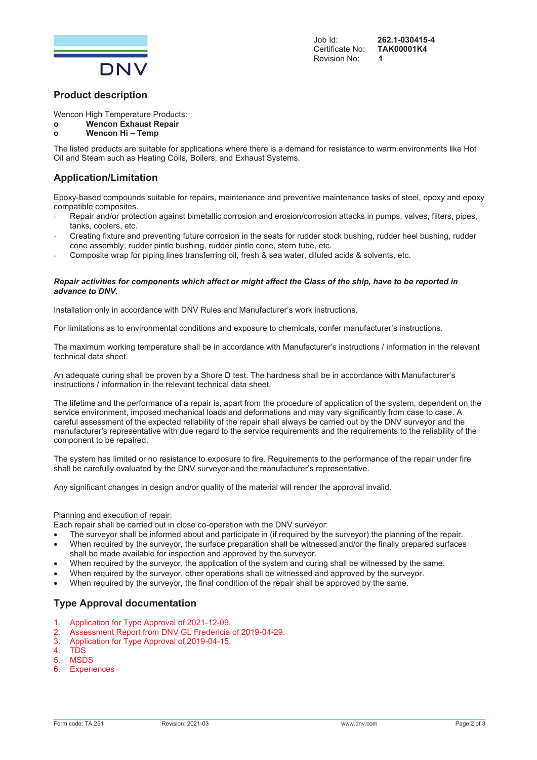

## **Product description**

Wencon High Temperature Products:

# **o Wencon Exhaust Repair**

# **o Wencon Hi – Temp**

The listed products are suitable for applications where there is a demand for resistance to warm environments like Hot Oil and Steam such as Heating Coils, Boilers, and Exhaust Systems.

# **Application/Limitation**

Epoxy-based compounds suitable for repairs, maintenance and preventive maintenance tasks of steel, epoxy and epoxy compatible composites.

- Repair and/or protection against bimetallic corrosion and erosion/corrosion attacks in pumps, valves, filters, pipes, tanks, coolers, etc.
- Creating fixture and preventing future corrosion in the seats for rudder stock bushing, rudder heel bushing, rudder cone assembly, rudder pintle bushing, rudder pintle cone, stern tube, etc.
- Composite wrap for piping lines transferring oil, fresh & sea water, diluted acids & solvents, etc.

#### *Repair activities for components which affect or might affect the Class of the ship, have to be reported in advance to DNV.*

Installation only in accordance with DNV Rules and Manufacturer's work instructions.

For limitations as to environmental conditions and exposure to chemicals, confer manufacturer's instructions.

The maximum working temperature shall be in accordance with Manufacturer's instructions / information in the relevant technical data sheet.

An adequate curing shall be proven by a Shore D test. The hardness shall be in accordance with Manufacturer's instructions / information in the relevant technical data sheet.

The lifetime and the performance of a repair is, apart from the procedure of application of the system, dependent on the service environment, imposed mechanical loads and deformations and may vary significantly from case to case. A careful assessment of the expected reliability of the repair shall always be carried out by the DNV surveyor and the manufacturer's representative with due regard to the service requirements and the requirements to the reliability of the component to be repaired.

The system has limited or no resistance to exposure to fire. Requirements to the performance of the repair under fire shall be carefully evaluated by the DNV surveyor and the manufacturer's representative.

Any significant changes in design and/or quality of the material will render the approval invalid.

#### Planning and execution of repair:

Each repair shall be carried out in close co-operation with the DNV surveyor:

- The surveyor shall be informed about and participate in (if required by the surveyor) the planning of the repair.
- When required by the surveyor, the surface preparation shall be witnessed and/or the finally prepared surfaces shall be made available for inspection and approved by the surveyor.
- When required by the surveyor, the application of the system and curing shall be witnessed by the same.
- When required by the surveyor, other operations shall be witnessed and approved by the surveyor.
- When required by the surveyor, the final condition of the repair shall be approved by the same.

- 1. Application for Type Approval of 2021-12-09.
- 2. Assessment Report from DNV GL Fredericia of 2019-04-29.
- 3. Application for Type Approval of 2019-04-15.
- 4. TDS
- 5. MSDS
- 6. Experiences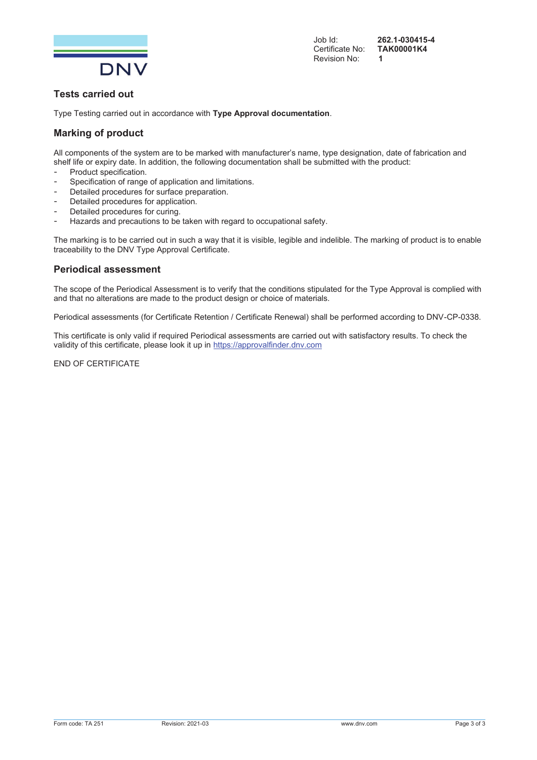

Job Id: **262.1-030415-4** Certificate No: Revision No: **1**

# **Tests carried out**

Type Testing carried out in accordance with **Type Approval documentation**.

# **Marking of product**

All components of the system are to be marked with manufacturer's name, type designation, date of fabrication and shelf life or expiry date. In addition, the following documentation shall be submitted with the product:

- Product specification.
- Specification of range of application and limitations.
- Detailed procedures for surface preparation.
- Detailed procedures for application.
- Detailed procedures for curing.
- Hazards and precautions to be taken with regard to occupational safety.

The marking is to be carried out in such a way that it is visible, legible and indelible. The marking of product is to enable traceability to the DNV Type Approval Certificate.

## **Periodical assessment**

The scope of the Periodical Assessment is to verify that the conditions stipulated for the Type Approval is complied with and that no alterations are made to the product design or choice of materials.

Periodical assessments (for Certificate Retention / Certificate Renewal) shall be performed according to DNV-CP-0338.

This certificate is only valid if required Periodical assessments are carried out with satisfactory results. To check the validity of this certificate, please look it up in https://approvalfinder.dnv.com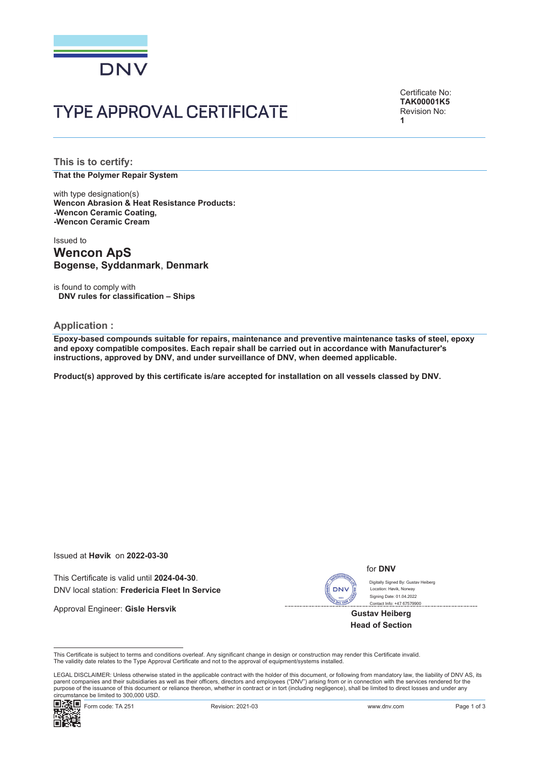

Certificate No: **TAK00001K5** Revision No: **1**

**This is to certify: That the Polymer Repair System**

with type designation(s) **Wencon Abrasion & Heat Resistance Products: -Wencon Ceramic Coating, -Wencon Ceramic Cream**

Issued to **Wencon ApS Bogense, Syddanmark**, **Denmark**

is found to comply with **DNV rules for classification – Ships**

#### **Application :**

**Epoxy-based compounds suitable for repairs, maintenance and preventive maintenance tasks of steel, epoxy and epoxy compatible composites. Each repair shall be carried out in accordance with Manufacturer's instructions, approved by DNV, and under surveillance of DNV, when deemed applicable.**

**Product(s) approved by this certificate is/are accepted for installation on all vessels classed by DNV.**

Issued at **Høvik** on **2022-03-30**

This Certificate is valid until **2024-04-30**. DNV local station: **Fredericia Fleet In Service**

Approval Engineer: **Gisle Hersvik**



for **DNV**

Contact Info: +47 67579900 Digitally Signed By: Gustav Heiberg Signing Date: 01.04.2022 Location: Havik, Norway

**Gustav Heiberg Head of Section**

LEGAL DISCLAIMER: Unless otherwise stated in the applicable contract with the holder of this document, or following from mandatory law, the liability of DNV AS, its parent companies and their subsidiaries as well as their officers, directors and employees ("DNV") arising from or in connection with the services rendered for the purpose of the issuance of this document or reliance thereon, whether in contract or in tort (including negligence), shall be limited to direct losses and under any circumstance be limited to 300,000 USD.



This Certificate is subject to terms and conditions overleaf. Any significant change in design or construction may render this Certificate invalid. The validity date relates to the Type Approval Certificate and not to the approval of equipment/systems installed.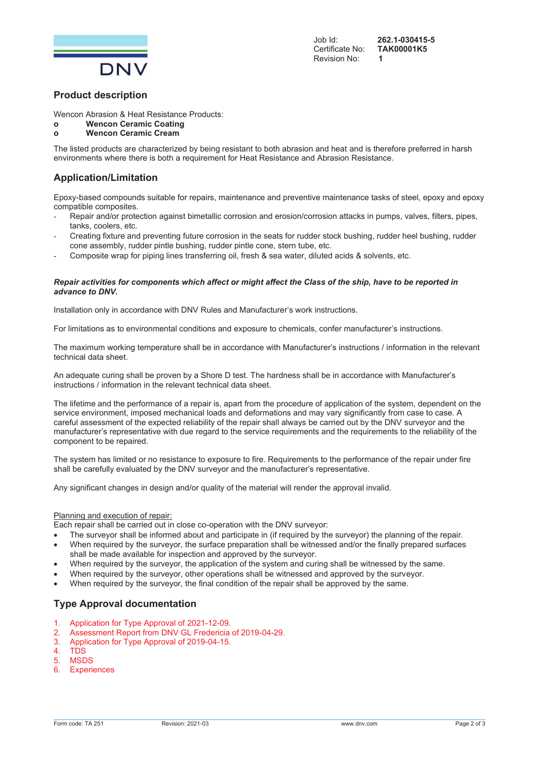

## **Product description**

Wencon Abrasion & Heat Resistance Products:

# **o Wencon Ceramic Coating**

# **o Wencon Ceramic Cream**

The listed products are characterized by being resistant to both abrasion and heat and is therefore preferred in harsh environments where there is both a requirement for Heat Resistance and Abrasion Resistance.

# **Application/Limitation**

Epoxy-based compounds suitable for repairs, maintenance and preventive maintenance tasks of steel, epoxy and epoxy compatible composites.

- Repair and/or protection against bimetallic corrosion and erosion/corrosion attacks in pumps, valves, filters, pipes, tanks, coolers, etc.
- Creating fixture and preventing future corrosion in the seats for rudder stock bushing, rudder heel bushing, rudder cone assembly, rudder pintle bushing, rudder pintle cone, stern tube, etc.
- Composite wrap for piping lines transferring oil, fresh & sea water, diluted acids & solvents, etc.

#### *Repair activities for components which affect or might affect the Class of the ship, have to be reported in advance to DNV.*

Installation only in accordance with DNV Rules and Manufacturer's work instructions.

For limitations as to environmental conditions and exposure to chemicals, confer manufacturer's instructions.

The maximum working temperature shall be in accordance with Manufacturer's instructions / information in the relevant technical data sheet.

An adequate curing shall be proven by a Shore D test. The hardness shall be in accordance with Manufacturer's instructions / information in the relevant technical data sheet.

The lifetime and the performance of a repair is, apart from the procedure of application of the system, dependent on the service environment, imposed mechanical loads and deformations and may vary significantly from case to case. A careful assessment of the expected reliability of the repair shall always be carried out by the DNV surveyor and the manufacturer's representative with due regard to the service requirements and the requirements to the reliability of the component to be repaired.

The system has limited or no resistance to exposure to fire. Requirements to the performance of the repair under fire shall be carefully evaluated by the DNV surveyor and the manufacturer's representative.

Any significant changes in design and/or quality of the material will render the approval invalid.

#### Planning and execution of repair:

Each repair shall be carried out in close co-operation with the DNV surveyor:

- The surveyor shall be informed about and participate in (if required by the surveyor) the planning of the repair.
- When required by the surveyor, the surface preparation shall be witnessed and/or the finally prepared surfaces shall be made available for inspection and approved by the surveyor.
- When required by the surveyor, the application of the system and curing shall be witnessed by the same.
- When required by the surveyor, other operations shall be witnessed and approved by the surveyor.
- When required by the surveyor, the final condition of the repair shall be approved by the same.

- 1. Application for Type Approval of 2021-12-09.
- 2. Assessment Report from DNV GL Fredericia of 2019-04-29.
- 3. Application for Type Approval of 2019-04-15.
- 4. TDS
- 5. MSDS
- 6. Experiences